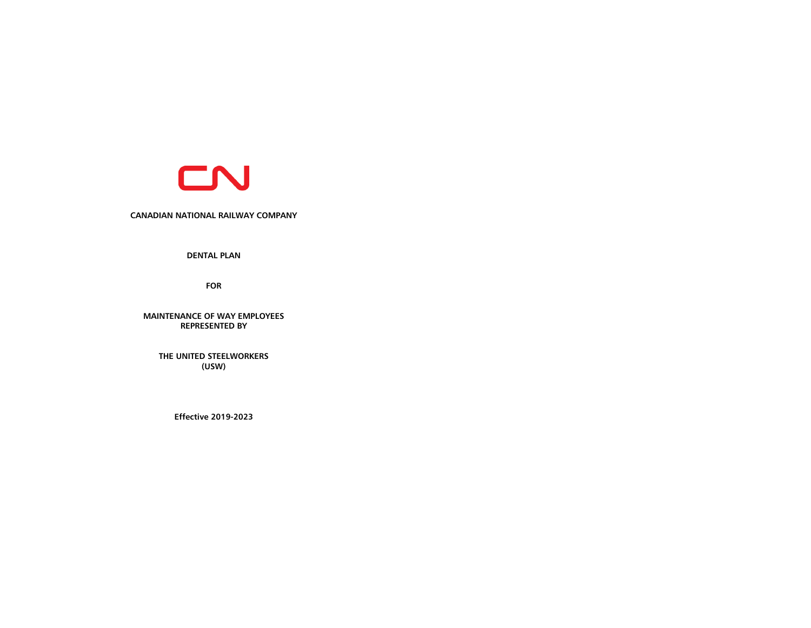

**CANADIAN NATIONAL RAILWAY COMPANY** 

**DENTAL PLAN** 

**FOR**

**MAINTENANCE OF WAY EMPLOYEES REPRESENTED BY**

**THE UNITED STEELWORKERS (USW)**

**Effective 2019-2023**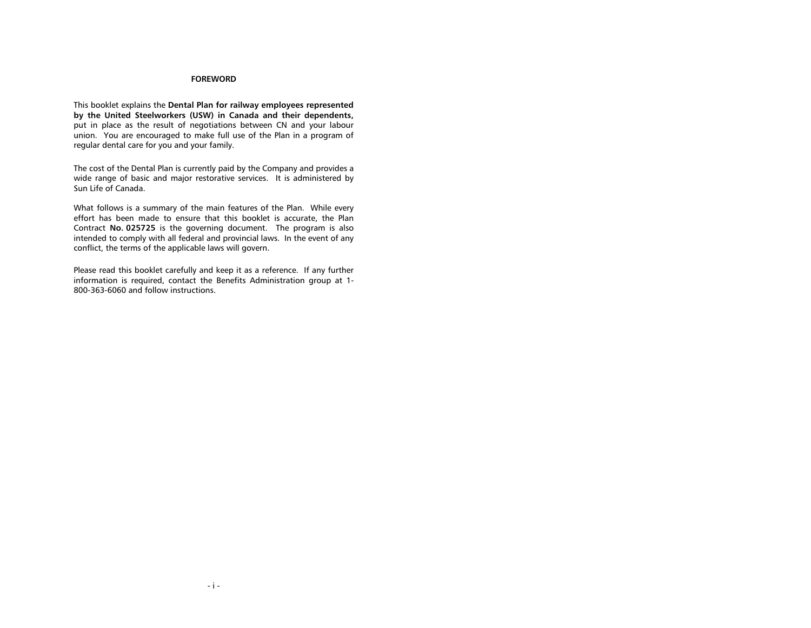## **FOREWORD**

This booklet explains the **Dental Plan for railway employees represented by the United Steelworkers (USW) in Canada and their dependents,** put in place as the result of negotiations between CN and your labour union. You are encouraged to make full use of the Plan in a program of regular dental care for you and your family.

The cost of the Dental Plan is currently paid by the Company and provides a wide range of basic and major restorative services. It is administered by Sun Life of Canada.

What follows is a summary of the main features of the Plan. While every effort has been made to ensure that this booklet is accurate, the Plan Contract **No. 025725** is the governing document. The program is also intended to comply with all federal and provincial laws. In the event of any conflict, the terms of the applicable laws will govern.

Please read this booklet carefully and keep it as a reference. If any further information is required, contact the Benefits Administration group at 1- 800-363-6060 and follow instructions.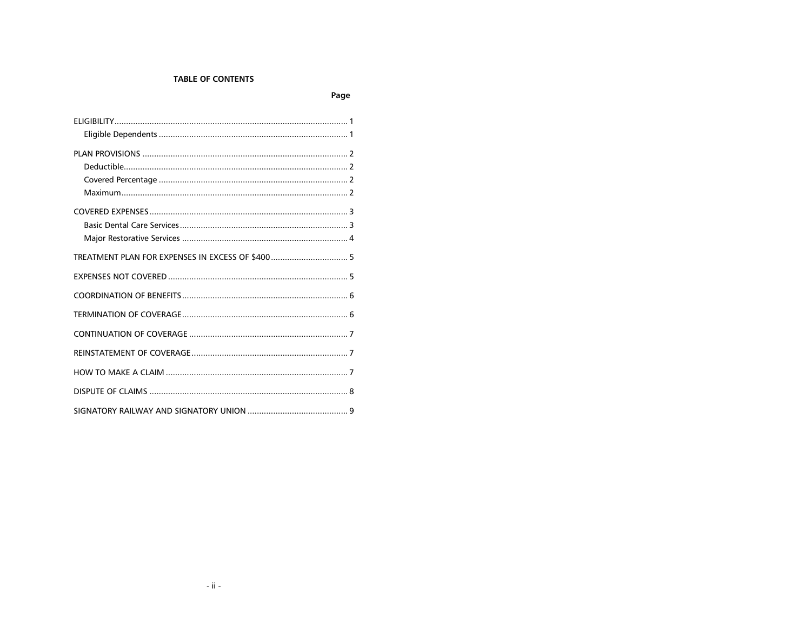# **TABLE OF CONTENTS**

| ۰. |
|----|
|----|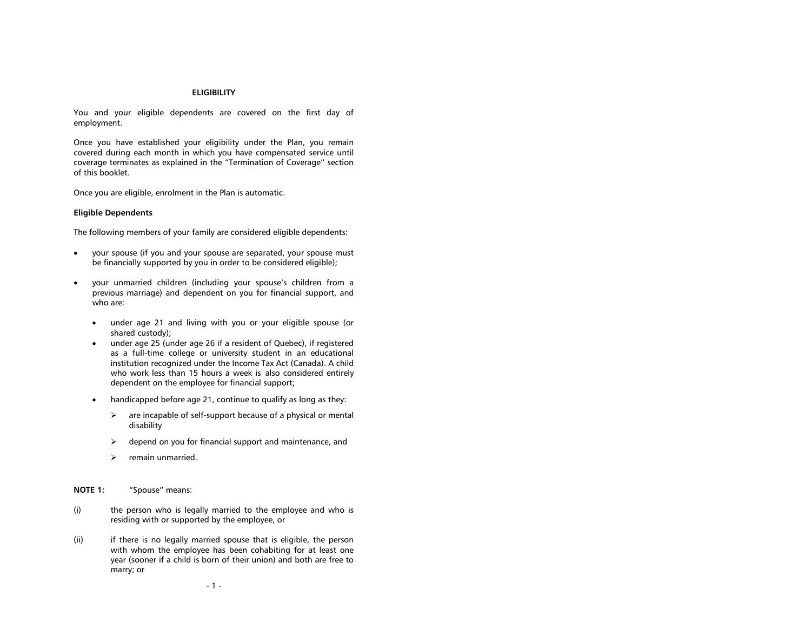#### **ELIGIBILITY**

<span id="page-3-0"></span>You and your eligible dependents are covered on the first day of employment.

Once you have established your eligibility under the Plan, you remain covered during each month in which you have compensated service until coverage terminates as explained in the "Termination of Coverage" section of this booklet.

Once you are eligible, enrolment in the Plan is automatic.

#### <span id="page-3-1"></span>**Eligible Dependents**

The following members of your family are considered eligible dependents:

- your spouse (if you and your spouse are separated, your spouse must be financially supported by you in order to be considered eligible);
- your unmarried children (including your spouse's children from a previous marriage) and dependent on you for financial support, and who are:
	- under age 21 and living with you or your eligible spouse (or shared custody);
	- under age 25 (under age 26 if a resident of Quebec), if registered as a full-time college or university student in an educational institution recognized under the Income Tax Act (Canada). A child who work less than 15 hours a week is also considered entirely dependent on the employee for financial support;
	- handicapped before age 21, continue to qualify as long as they:
		- $\triangleright$  are incapable of self-support because of a physical or mental disability
		- $\triangleright$  depend on you for financial support and maintenance, and
		- $\triangleright$  remain unmarried.

**NOTE 1:** "Spouse" means:

- (i) the person who is legally married to the employee and who is residing with or supported by the employee, or
- (ii) if there is no legally married spouse that is eligible, the person with whom the employee has been cohabiting for at least one year (sooner if a child is born of their union) and both are free to marry; or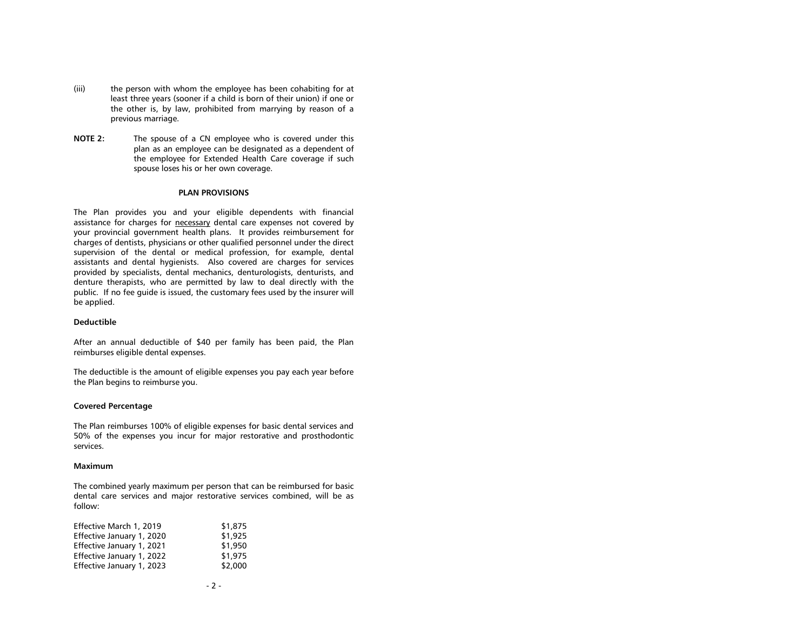- (iii) the person with whom the employee has been cohabiting for at least three years (sooner if a child is born of their union) if one or the other is, by law, prohibited from marrying by reason of a previous marriage.
- **NOTE 2:** The spouse of a CN employee who is covered under this plan as an employee can be designated as a dependent of the employee for Extended Health Care coverage if such spouse loses his or her own coverage.

#### **PLAN PROVISIONS**

<span id="page-4-0"></span>The Plan provides you and your eligible dependents with financial assistance for charges for necessary dental care expenses not covered by your provincial government health plans. It provides reimbursement for charges of dentists, physicians or other qualified personnel under the direct supervision of the dental or medical profession, for example, dental assistants and dental hygienists. Also covered are charges for services provided by specialists, dental mechanics, denturologists, denturists, and denture therapists, who are permitted by law to deal directly with the public. If no fee guide is issued, the customary fees used by the insurer will be applied.

#### <span id="page-4-1"></span>**Deductible**

After an annual deductible of \$40 per family has been paid, the Plan reimburses eligible dental expenses.

The deductible is the amount of eligible expenses you pay each year before the Plan begins to reimburse you.

## <span id="page-4-2"></span>**Covered Percentage**

The Plan reimburses 100% of eligible expenses for basic dental services and 50% of the expenses you incur for major restorative and prosthodontic services.

## <span id="page-4-3"></span>**Maximum**

The combined yearly maximum per person that can be reimbursed for basic dental care services and major restorative services combined, will be as follow:

| Effective March 1, 2019   | \$1,875 |
|---------------------------|---------|
| Effective January 1, 2020 | \$1.925 |
| Effective January 1, 2021 | \$1.950 |
| Effective January 1, 2022 | \$1,975 |
| Effective January 1, 2023 | \$2,000 |
|                           |         |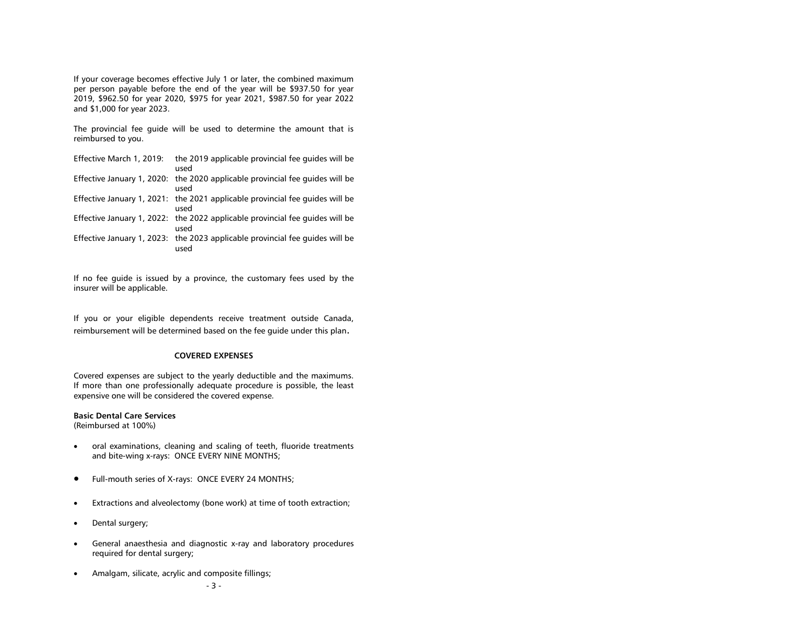If your coverage becomes effective July 1 or later, the combined maximum per person payable before the end of the year will be \$937.50 for year 2019, \$962.50 for year 2020, \$975 for year 2021, \$987.50 for year 2022 and \$1,000 for year 2023.

The provincial fee guide will be used to determine the amount that is reimbursed to you.

| Effective March 1, 2019: | the 2019 applicable provincial fee quides will be<br>used                            |
|--------------------------|--------------------------------------------------------------------------------------|
|                          | Effective January 1, 2020: the 2020 applicable provincial fee quides will be<br>used |
|                          | Effective January 1, 2021: the 2021 applicable provincial fee quides will be<br>used |
|                          | Effective January 1, 2022: the 2022 applicable provincial fee quides will be<br>used |
|                          | Effective January 1, 2023: the 2023 applicable provincial fee quides will be<br>used |

If no fee guide is issued by a province, the customary fees used by the insurer will be applicable.

If you or your eligible dependents receive treatment outside Canada, reimbursement will be determined based on the fee guide under this plan.

## **COVERED EXPENSES**

<span id="page-5-0"></span>Covered expenses are subject to the yearly deductible and the maximums. If more than one professionally adequate procedure is possible, the least expensive one will be considered the covered expense.

## <span id="page-5-1"></span>**Basic Dental Care Services**

(Reimbursed at 100%)

- oral examinations, cleaning and scaling of teeth, fluoride treatments and bite-wing x-rays: ONCE EVERY NINE MONTHS;
- Full-mouth series of X-rays: ONCE EVERY 24 MONTHS;
- Extractions and alveolectomy (bone work) at time of tooth extraction;
- Dental surgery;
- General anaesthesia and diagnostic x-ray and laboratory procedures required for dental surgery;
- Amalgam, silicate, acrylic and composite fillings;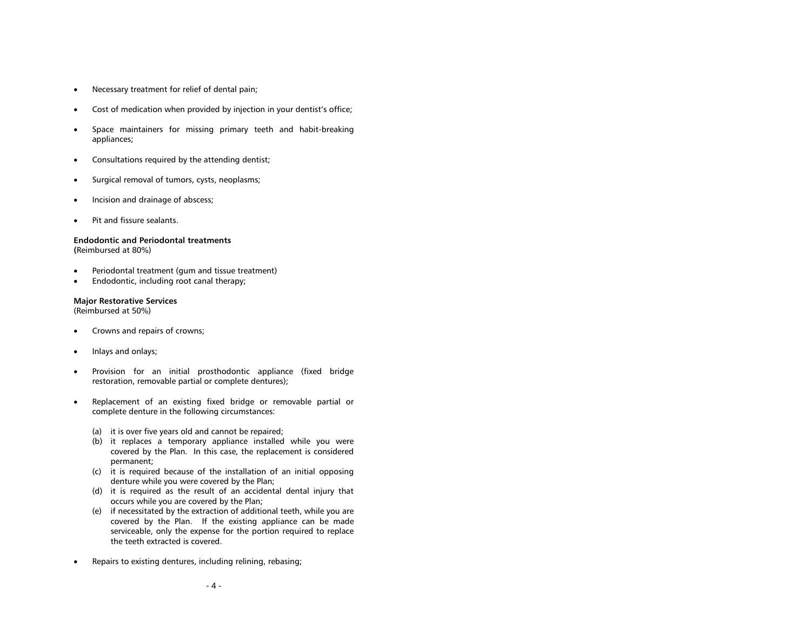- Necessary treatment for relief of dental pain;
- Cost of medication when provided by injection in your dentist's office;
- Space maintainers for missing primary teeth and habit-breaking appliances;
- Consultations required by the attending dentist;
- Surgical removal of tumors, cysts, neoplasms;
- Incision and drainage of abscess;
- Pit and fissure sealants.

## **Endodontic and Periodontal treatments**

**(**Reimbursed at 80%)

- Periodontal treatment (gum and tissue treatment)
- Endodontic, including root canal therapy;

## <span id="page-6-0"></span>**Major Restorative Services**

(Reimbursed at 50%)

- Crowns and repairs of crowns;
- Inlays and onlays;
- Provision for an initial prosthodontic appliance (fixed bridge restoration, removable partial or complete dentures);
- Replacement of an existing fixed bridge or removable partial or complete denture in the following circumstances:
	- (a) it is over five years old and cannot be repaired;
	- (b) it replaces a temporary appliance installed while you were covered by the Plan. In this case, the replacement is considered permanent;
	- (c) it is required because of the installation of an initial opposing denture while you were covered by the Plan;
	- (d) it is required as the result of an accidental dental injury that occurs while you are covered by the Plan;
	- (e) if necessitated by the extraction of additional teeth, while you are covered by the Plan. If the existing appliance can be made serviceable, only the expense for the portion required to replace the teeth extracted is covered.
- Repairs to existing dentures, including relining, rebasing;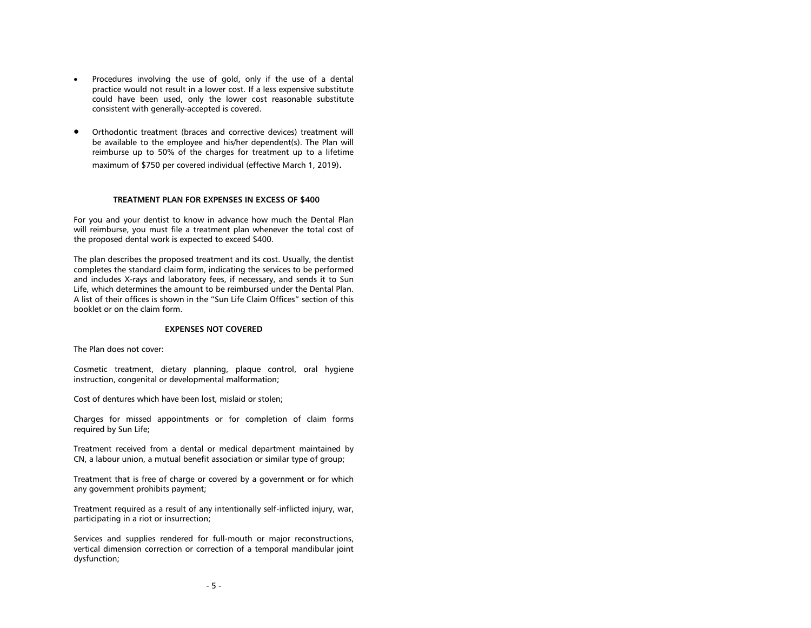- Procedures involving the use of gold, only if the use of a dental practice would not result in a lower cost. If a less expensive substitute could have been used, only the lower cost reasonable substitute consistent with generally-accepted is covered.
- Orthodontic treatment (braces and corrective devices) treatment will be available to the employee and his/her dependent(s). The Plan will reimburse up to 50% of the charges for treatment up to a lifetime maximum of \$750 per covered individual (effective March 1, 2019).

#### **TREATMENT PLAN FOR EXPENSES IN EXCESS OF \$400**

<span id="page-7-0"></span>For you and your dentist to know in advance how much the Dental Plan will reimburse, you must file a treatment plan whenever the total cost of the proposed dental work is expected to exceed \$400.

The plan describes the proposed treatment and its cost. Usually, the dentist completes the standard claim form, indicating the services to be performed and includes X-rays and laboratory fees, if necessary, and sends it to Sun Life, which determines the amount to be reimbursed under the Dental Plan. A list of their offices is shown in the "Sun Life Claim Offices" section of this booklet or on the claim form.

## **EXPENSES NOT COVERED**

<span id="page-7-1"></span>The Plan does not cover:

Cosmetic treatment, dietary planning, plaque control, oral hygiene instruction, congenital or developmental malformation;

Cost of dentures which have been lost, mislaid or stolen;

Charges for missed appointments or for completion of claim forms required by Sun Life;

Treatment received from a dental or medical department maintained by CN, a labour union, a mutual benefit association or similar type of group;

Treatment that is free of charge or covered by a government or for which any government prohibits payment;

Treatment required as a result of any intentionally self-inflicted injury, war, participating in a riot or insurrection;

Services and supplies rendered for full-mouth or major reconstructions, vertical dimension correction or correction of a temporal mandibular joint dysfunction;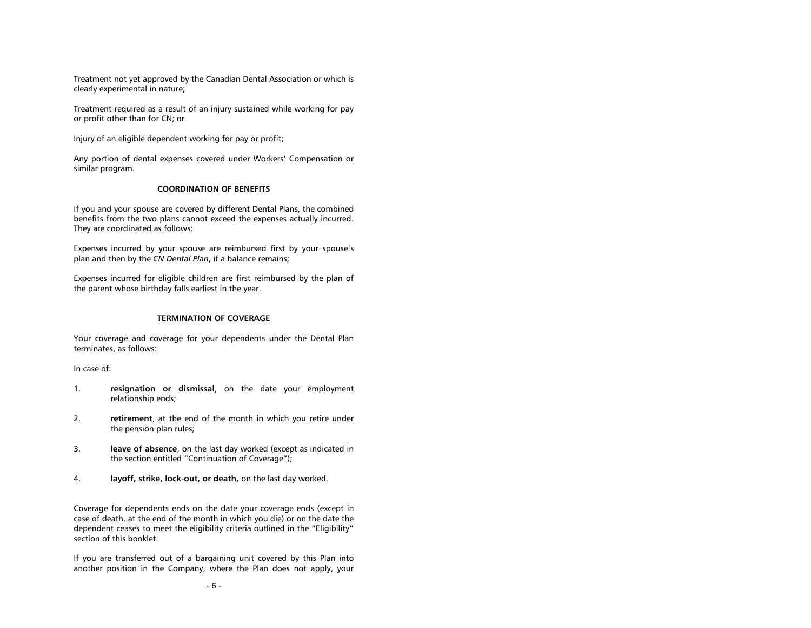Treatment not yet approved by the Canadian Dental Association or which is clearly experimental in nature;

Treatment required as a result of an injury sustained while working for pay or profit other than for CN; or

Injury of an eligible dependent working for pay or profit;

Any portion of dental expenses covered under Workers' Compensation or similar program.

## **COORDINATION OF BENEFITS**

<span id="page-8-0"></span>If you and your spouse are covered by different Dental Plans, the combined benefits from the two plans cannot exceed the expenses actually incurred. They are coordinated as follows:

Expenses incurred by your spouse are reimbursed first by your spouse's plan and then by the *CN Dental Plan*, if a balance remains;

Expenses incurred for eligible children are first reimbursed by the plan of the parent whose birthday falls earliest in the year.

## **TERMINATION OF COVERAGE**

<span id="page-8-1"></span>Your coverage and coverage for your dependents under the Dental Plan terminates, as follows:

In case of:

- 1. **resignation or dismissal**, on the date your employment relationship ends;
- 2. **retirement**, at the end of the month in which you retire under the pension plan rules;
- 3. **leave of absence**, on the last day worked (except as indicated in the section entitled "Continuation of Coverage");
- 4. **layoff, strike, lock-out, or death,** on the last day worked.

Coverage for dependents ends on the date your coverage ends (except in case of death, at the end of the month in which you die) or on the date the dependent ceases to meet the eligibility criteria outlined in the "Eligibility" section of this booklet.

If you are transferred out of a bargaining unit covered by this Plan into another position in the Company, where the Plan does not apply, your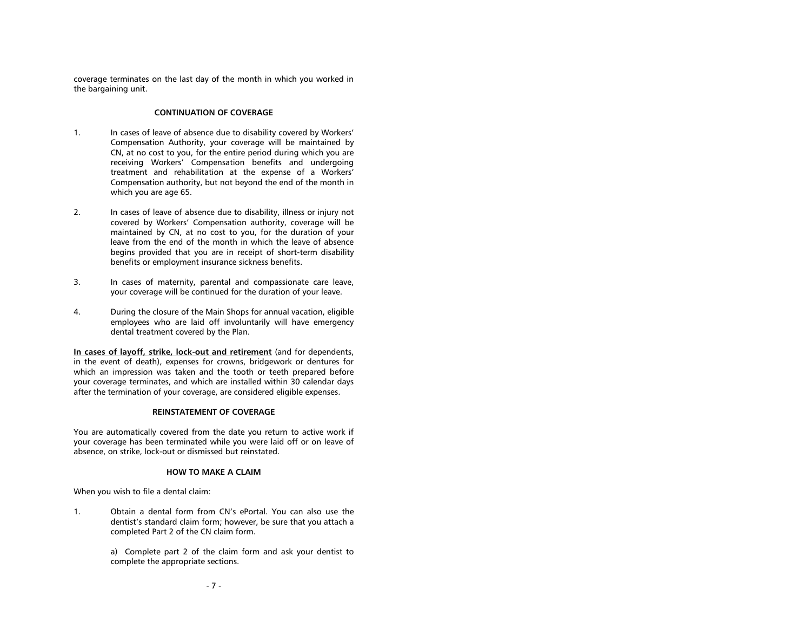coverage terminates on the last day of the month in which you worked in the bargaining unit.

## **CONTINUATION OF COVERAGE**

- <span id="page-9-0"></span>1. In cases of leave of absence due to disability covered by Workers' Compensation Authority, your coverage will be maintained by CN, at no cost to you, for the entire period during which you are receiving Workers' Compensation benefits and undergoing treatment and rehabilitation at the expense of a Workers' Compensation authority, but not beyond the end of the month in which you are age 65.
- 2. In cases of leave of absence due to disability, illness or injury not covered by Workers' Compensation authority, coverage will be maintained by CN, at no cost to you, for the duration of your leave from the end of the month in which the leave of absence begins provided that you are in receipt of short-term disability benefits or employment insurance sickness benefits.
- 3. In cases of maternity, parental and compassionate care leave, your coverage will be continued for the duration of your leave.
- 4. During the closure of the Main Shops for annual vacation, eligible employees who are laid off involuntarily will have emergency dental treatment covered by the Plan.

**In cases of layoff, strike, lock-out and retirement** (and for dependents, in the event of death), expenses for crowns, bridgework or dentures for which an impression was taken and the tooth or teeth prepared before your coverage terminates, and which are installed within 30 calendar days after the termination of your coverage, are considered eligible expenses.

## **REINSTATEMENT OF COVERAGE**

<span id="page-9-1"></span>You are automatically covered from the date you return to active work if your coverage has been terminated while you were laid off or on leave of absence, on strike, lock-out or dismissed but reinstated.

## **HOW TO MAKE A CLAIM**

<span id="page-9-2"></span>When you wish to file a dental claim:

1. Obtain a dental form from CN's ePortal. You can also use the dentist's standard claim form; however, be sure that you attach a completed Part 2 of the CN claim form.

> a) Complete part 2 of the claim form and ask your dentist to complete the appropriate sections.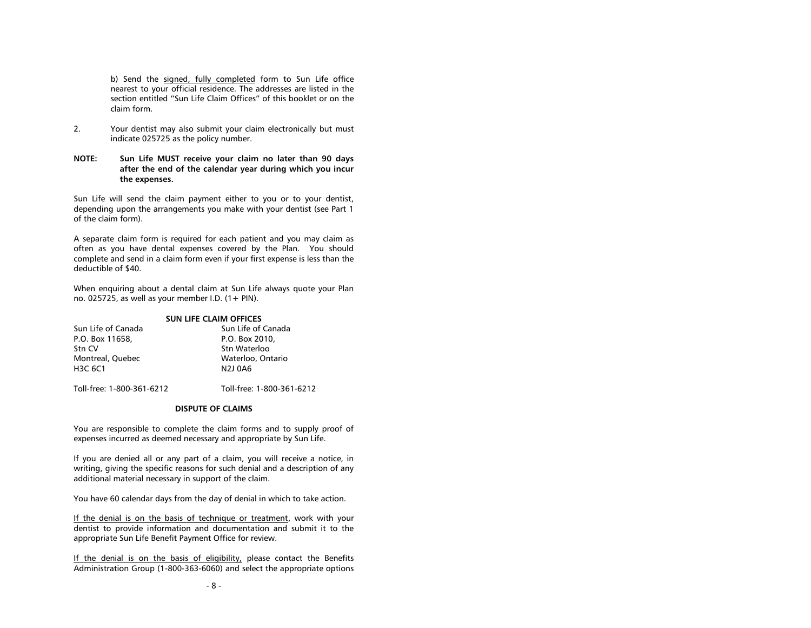b) Send the signed, fully completed form to Sun Life office nearest to your official residence. The addresses are listed in the section entitled "Sun Life Claim Offices" of this booklet or on the claim form.

- 2. Your dentist may also submit your claim electronically but must indicate 025725 as the policy number.
- **NOTE: Sun Life MUST receive your claim no later than 90 days after the end of the calendar year during which you incur the expenses.**

Sun Life will send the claim payment either to you or to your dentist, depending upon the arrangements you make with your dentist (see Part 1 of the claim form).

A separate claim form is required for each patient and you may claim as often as you have dental expenses covered by the Plan. You should complete and send in a claim form even if your first expense is less than the deductible of \$40.

When enquiring about a dental claim at Sun Life always quote your Plan no. 025725, as well as your member I.D.  $(1 + PIN)$ .

#### **SUN LIFE CLAIM OFFICES**

| Sun Life of Canada   | Sun Life of Canada  |
|----------------------|---------------------|
| P.O. Box 11658.      | P.O. Box 2010,      |
| Stn CV               | Stn Waterloo        |
| Montreal, Ouebec     | Waterloo, Ontario   |
| H <sub>3</sub> C 6C1 | N <sub>2</sub> 10A6 |
|                      |                     |

<span id="page-10-0"></span>Toll-free: 1-800-361-6212 Toll-free: 1-800-361-6212

## **DISPUTE OF CLAIMS**

You are responsible to complete the claim forms and to supply proof of expenses incurred as deemed necessary and appropriate by Sun Life.

If you are denied all or any part of a claim, you will receive a notice, in writing, giving the specific reasons for such denial and a description of any additional material necessary in support of the claim.

You have 60 calendar days from the day of denial in which to take action.

If the denial is on the basis of technique or treatment, work with your dentist to provide information and documentation and submit it to the appropriate Sun Life Benefit Payment Office for review.

If the denial is on the basis of eligibility, please contact the Benefits Administration Group (1-800-363-6060) and select the appropriate options